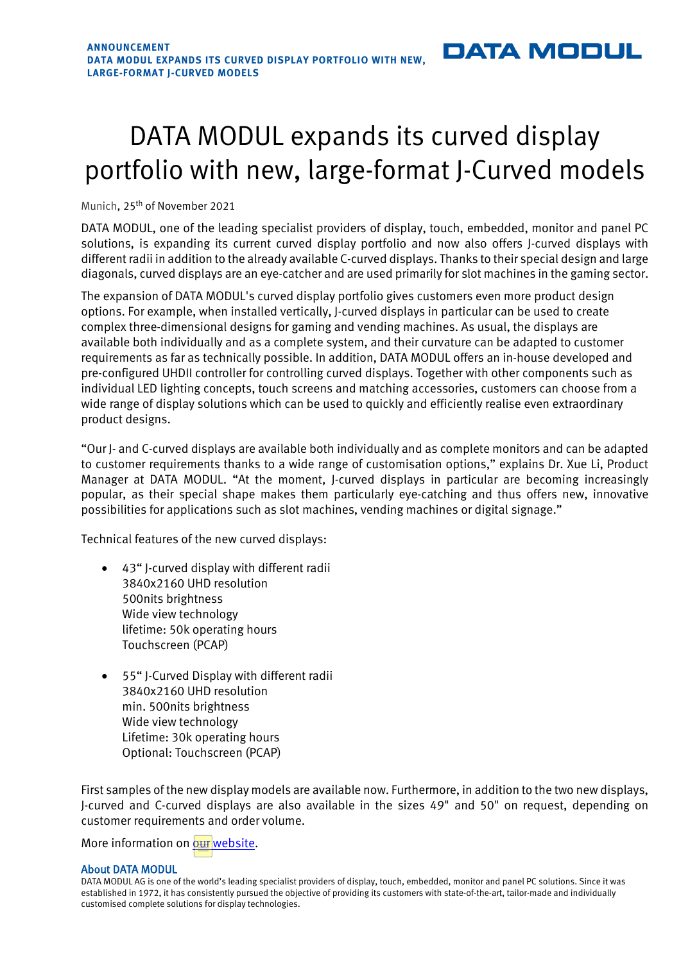## **DATA MODUL**

## DATA MODUL expands its curved display portfolio with new, large-format J-Curved models

Munich, 25<sup>th</sup> of November 2021

DATA MODUL, one of the leading specialist providers of display, touch, embedded, monitor and panel PC solutions, is expanding its current curved display portfolio and now also offers J-curved displays with different radii in addition to the already available C-curved displays. Thanks to their special design and large diagonals, curved displays are an eye-catcher and are used primarily for slot machines in the gaming sector.

The expansion of DATA MODUL's curved display portfolio gives customers even more product design options. For example, when installed vertically, J-curved displays in particular can be used to create complex three-dimensional designs for gaming and vending machines. As usual, the displays are available both individually and as a complete system, and their curvature can be adapted to customer requirements as far as technically possible. In addition, DATA MODUL offers an in-house developed and pre-configured UHDII controller for controlling curved displays. Together with other components such as individual LED lighting concepts, touch screens and matching accessories, customers can choose from a wide range of display solutions which can be used to quickly and efficiently realise even extraordinary product designs.

"Our J- and C-curved displays are available both individually and as complete monitors and can be adapted to customer requirements thanks to a wide range of customisation options," explains Dr. Xue Li, Product Manager at DATA MODUL. "At the moment, J-curved displays in particular are becoming increasingly popular, as their special shape makes them particularly eye-catching and thus offers new, innovative possibilities for applications such as slot machines, vending machines or digital signage."

Technical features of the new curved displays:

- 43" J-curved display with different radii 3840x2160 UHD resolution 500nits brightness Wide view technology lifetime: 50k operating hours Touchscreen (PCAP)
- 55" J-Curved Display with different radii 3840x2160 UHD resolution min. 500nits brightness Wide view technology Lifetime: 30k operating hours Optional: Touchscreen (PCAP)

First samples of the new display models are available now. Furthermore, in addition to the two new displays, J-curved and C-curved displays are also available in the sizes 49" and 50" on request, depending on customer requirements and order volume.

More information o[n our website.](https://www.data-modul.com/en/home.html?utm_campaign=news_j-curved_1121_en&utm_source=dm-pr-news&utm_medium=pdf)

## About DATA MODUL

DATA MODUL AG is one of the world's leading specialist providers of display, touch, embedded, monitor and panel PC solutions. Since it was established in 1972, it has consistently pursued the objective of providing its customers with state-of-the-art, tailor-made and individually customised complete solutions for display technologies.